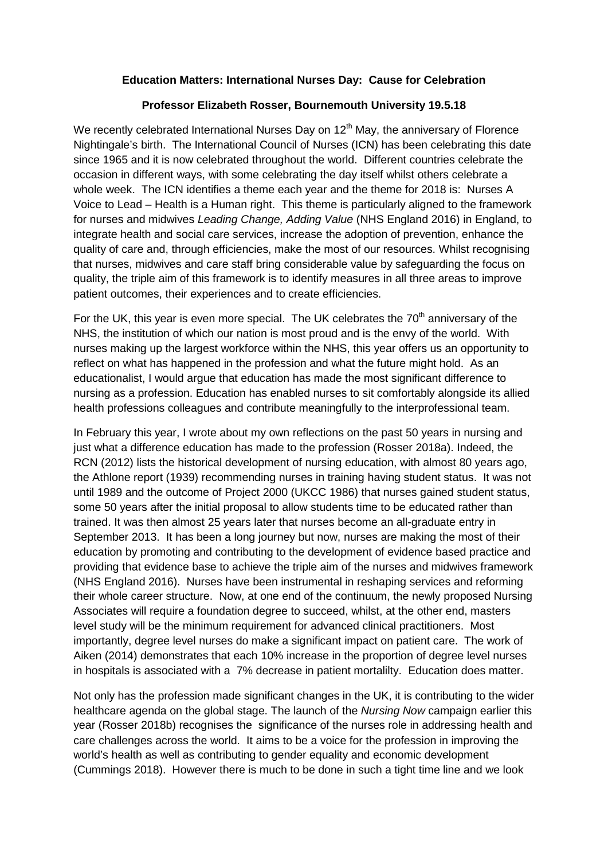## **Education Matters: International Nurses Day: Cause for Celebration**

## **Professor Elizabeth Rosser, Bournemouth University 19.5.18**

We recently celebrated International Nurses Day on 12<sup>th</sup> May, the anniversary of Florence Nightingale's birth. The International Council of Nurses (ICN) has been celebrating this date since 1965 and it is now celebrated throughout the world. Different countries celebrate the occasion in different ways, with some celebrating the day itself whilst others celebrate a whole week. The ICN identifies a theme each year and the theme for 2018 is: Nurses A Voice to Lead – Health is a Human right. This theme is particularly aligned to the framework for nurses and midwives *Leading Change, Adding Value* (NHS England 2016) in England, to integrate health and social care services, increase the adoption of prevention, enhance the quality of care and, through efficiencies, make the most of our resources. Whilst recognising that nurses, midwives and care staff bring considerable value by safeguarding the focus on quality, the triple aim of this framework is to identify measures in all three areas to improve patient outcomes, their experiences and to create efficiencies.

For the UK, this year is even more special. The UK celebrates the  $70<sup>th</sup>$  anniversary of the NHS, the institution of which our nation is most proud and is the envy of the world. With nurses making up the largest workforce within the NHS, this year offers us an opportunity to reflect on what has happened in the profession and what the future might hold. As an educationalist, I would argue that education has made the most significant difference to nursing as a profession. Education has enabled nurses to sit comfortably alongside its allied health professions colleagues and contribute meaningfully to the interprofessional team.

In February this year, I wrote about my own reflections on the past 50 years in nursing and just what a difference education has made to the profession (Rosser 2018a). Indeed, the RCN (2012) lists the historical development of nursing education, with almost 80 years ago, the Athlone report (1939) recommending nurses in training having student status. It was not until 1989 and the outcome of Project 2000 (UKCC 1986) that nurses gained student status, some 50 years after the initial proposal to allow students time to be educated rather than trained. It was then almost 25 years later that nurses become an all-graduate entry in September 2013. It has been a long journey but now, nurses are making the most of their education by promoting and contributing to the development of evidence based practice and providing that evidence base to achieve the triple aim of the nurses and midwives framework (NHS England 2016). Nurses have been instrumental in reshaping services and reforming their whole career structure. Now, at one end of the continuum, the newly proposed Nursing Associates will require a foundation degree to succeed, whilst, at the other end, masters level study will be the minimum requirement for advanced clinical practitioners. Most importantly, degree level nurses do make a significant impact on patient care. The work of Aiken (2014) demonstrates that each 10% increase in the proportion of degree level nurses in hospitals is associated with a 7% decrease in patient mortalilty. Education does matter.

Not only has the profession made significant changes in the UK, it is contributing to the wider healthcare agenda on the global stage. The launch of the *Nursing Now* campaign earlier this year (Rosser 2018b) recognises the significance of the nurses role in addressing health and care challenges across the world. It aims to be a voice for the profession in improving the world's health as well as contributing to gender equality and economic development (Cummings 2018). However there is much to be done in such a tight time line and we look